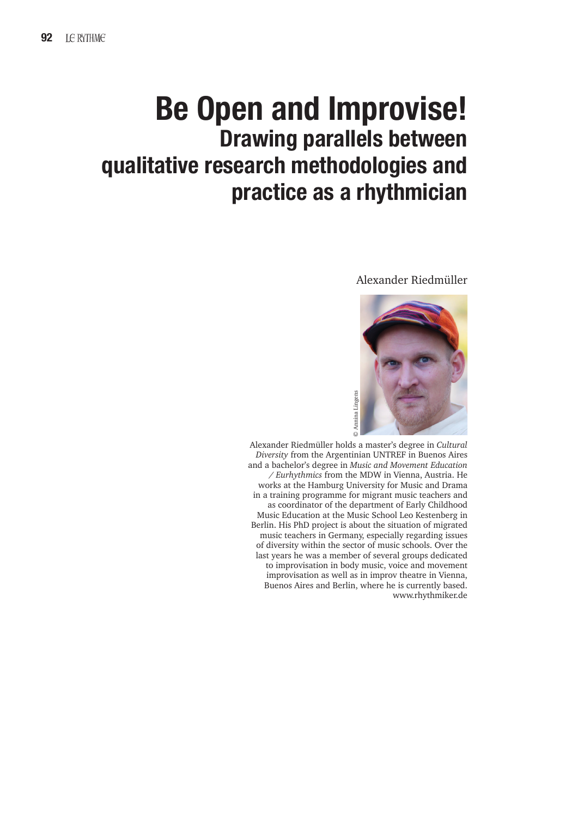# **Be Open and Improvise! Drawing parallels between qualitative research methodologies and practice as a rhythmician**

## Alexander Riedmüller



 Alexander Riedmüller holds a master's degree in *Cultural Diversity* from the Argentinian UNTREF in Buenos Aires and a bachelor's degree in *Music and Movement Education / Eurhythmics* from the MDW in Vienna, Austria. He works at the Hamburg University for Music and Drama in a training programme for migrant music teachers and as coordinator of the department of Early Childhood Music Education at the Music School Leo Kestenberg in Berlin. His PhD project is about the situation of migrated music teachers in Germany, especially regarding issues of diversity within the sector of music schools. Over the last years he was a member of several groups dedicated to improvisation in body music, voice and movement improvisation as well as in improv theatre in Vienna, Buenos Aires and Berlin, where he is currently based. www.rhythmiker.de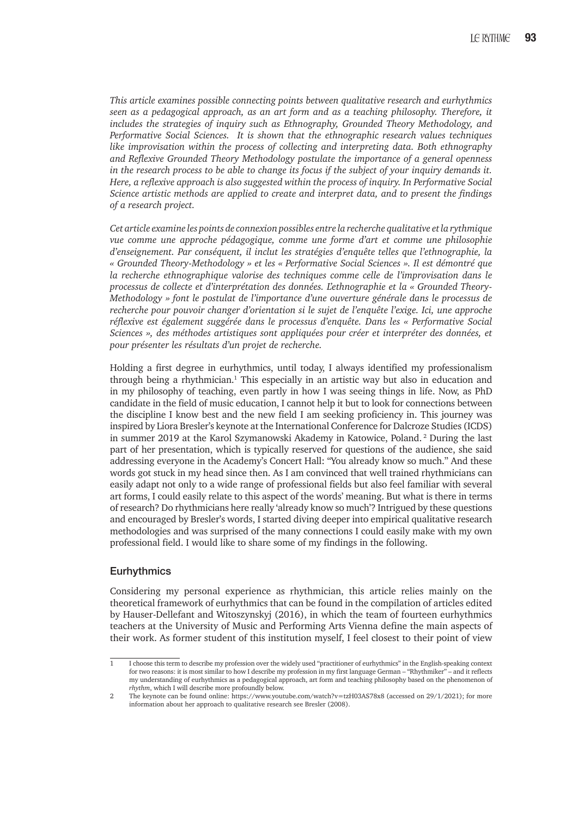*This article examines possible connecting points between qualitative research and eurhythmics seen as a pedagogical approach, as an art form and as a teaching philosophy. Therefore, it includes the strategies of inquiry such as Ethnography, Grounded Theory Methodology, and Performative Social Sciences. It is shown that the ethnographic research values techniques like improvisation within the process of collecting and interpreting data. Both ethnography and Reflexive Grounded Theory Methodology postulate the importance of a general openness in the research process to be able to change its focus if the subject of your inquiry demands it. Here, a reflexive approach is also suggested within the process of inquiry. In Performative Social Science artistic methods are applied to create and interpret data, and to present the findings of a research project.*

*Cet article examine les points de connexion possibles entre la recherche qualitative et la rythmique vue comme une approche pédagogique, comme une forme d'art et comme une philosophie d'enseignement. Par conséquent, il inclut les stratégies d'enquête telles que l'ethnographie, la « Grounded Theory-Methodology » et les « Performative Social Sciences ». Il est démontré que*  la recherche ethnographique valorise des techniques comme celle de l'improvisation dans le *processus de collecte et d'interprétation des données. L'ethnographie et la « Grounded Theory-Methodology » font le postulat de l'importance d'une ouverture générale dans le processus de recherche pour pouvoir changer d'orientation si le sujet de l'enquête l'exige. Ici, une approche réflexive est également suggérée dans le processus d'enquête. Dans les « Performative Social Sciences », des méthodes artistiques sont appliquées pour créer et interpréter des données, et pour présenter les résultats d'un projet de recherche.*

Holding a first degree in eurhythmics, until today, I always identified my professionalism through being a rhythmician.<sup>1</sup> This especially in an artistic way but also in education and in my philosophy of teaching, even partly in how I was seeing things in life. Now, as PhD candidate in the field of music education, I cannot help it but to look for connections between the discipline I know best and the new field I am seeking proficiency in. This journey was inspired by Liora Bresler's keynote at the International Conference for Dalcroze Studies (ICDS) in summer 2019 at the Karol Szymanowski Akademy in Katowice, Poland. 2 During the last part of her presentation, which is typically reserved for questions of the audience, she said addressing everyone in the Academy's Concert Hall: "You already know so much." And these words got stuck in my head since then. As I am convinced that well trained rhythmicians can easily adapt not only to a wide range of professional fields but also feel familiar with several art forms, I could easily relate to this aspect of the words' meaning. But what is there in terms of research? Do rhythmicians here really 'already know so much'? Intrigued by these questions and encouraged by Bresler's words, I started diving deeper into empirical qualitative research methodologies and was surprised of the many connections I could easily make with my own professional field. I would like to share some of my findings in the following.

# **Eurhythmics**

Considering my personal experience as rhythmician, this article relies mainly on the theoretical framework of eurhythmics that can be found in the compilation of articles edited by Hauser-Dellefant and Witoszynskyj (2016), in which the team of fourteen eurhythmics teachers at the University of Music and Performing Arts Vienna define the main aspects of their work. As former student of this institution myself, I feel closest to their point of view

<sup>1</sup> I choose this term to describe my profession over the widely used "practitioner of eurhythmics" in the English-speaking context for two reasons: it is most similar to how I describe my profession in my first language German – "Rhythmiker" – and it reflects my understanding of eurhythmics as a pedagogical approach, art form and teaching philosophy based on the phenomenon of *rhythm*, which I will describe more profoundly below.

<sup>2</sup> The keynote can be found online: https://www.youtube.com/watch?v=tzH03AS78x8 (accessed on 29/1/2021); for more information about her approach to qualitative research see Bresler (2008).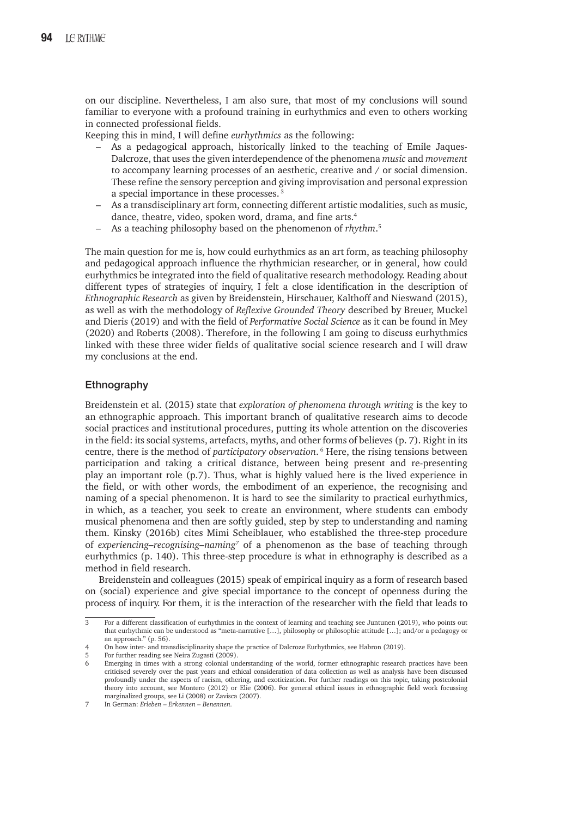on our discipline. Nevertheless, I am also sure, that most of my conclusions will sound familiar to everyone with a profound training in eurhythmics and even to others working in connected professional fields.

Keeping this in mind, I will define *eurhythmics* as the following:

- As a pedagogical approach, historically linked to the teaching of Emile Jaques-Dalcroze, that uses the given interdependence of the phenomena *music* and *movement* to accompany learning processes of an aesthetic, creative and / or social dimension. These refine the sensory perception and giving improvisation and personal expression a special importance in these processes.<sup>3</sup>
- As a transdisciplinary art form, connecting different artistic modalities, such as music, dance, theatre, video, spoken word, drama, and fine arts.<sup>4</sup>
- As a teaching philosophy based on the phenomenon of *rhythm*. 5

The main question for me is, how could eurhythmics as an art form, as teaching philosophy and pedagogical approach influence the rhythmician researcher, or in general, how could eurhythmics be integrated into the field of qualitative research methodology. Reading about different types of strategies of inquiry, I felt a close identification in the description of *Ethnographic Research* as given by Breidenstein, Hirschauer, Kalthoff and Nieswand (2015), as well as with the methodology of *Reflexive Grounded Theory* described by Breuer, Muckel and Dieris (2019) and with the field of *Performative Social Science* as it can be found in Mey (2020) and Roberts (2008). Therefore, in the following I am going to discuss eurhythmics linked with these three wider fields of qualitative social science research and I will draw my conclusions at the end.

## **Ethnography**

Breidenstein et al. (2015) state that *exploration of phenomena through writing* is the key to an ethnographic approach. This important branch of qualitative research aims to decode social practices and institutional procedures, putting its whole attention on the discoveries in the field: its social systems, artefacts, myths, and other forms of believes (p. 7). Right in its centre, there is the method of *participatory observation*. 6 Here, the rising tensions between participation and taking a critical distance, between being present and re-presenting play an important role (p.7). Thus, what is highly valued here is the lived experience in the field, or with other words, the embodiment of an experience, the recognising and naming of a special phenomenon. It is hard to see the similarity to practical eurhythmics, in which, as a teacher, you seek to create an environment, where students can embody musical phenomena and then are softly guided, step by step to understanding and naming them. Kinsky (2016b) cites Mimi Scheiblauer, who established the three-step procedure of *experiencing–recognising–naming7* of a phenomenon as the base of teaching through eurhythmics (p. 140). This three-step procedure is what in ethnography is described as a method in field research.

Breidenstein and colleagues (2015) speak of empirical inquiry as a form of research based on (social) experience and give special importance to the concept of openness during the process of inquiry. For them, it is the interaction of the researcher with the field that leads to

<sup>3</sup> For a different classification of eurhythmics in the context of learning and teaching see Juntunen (2019), who points out that eurhythmic can be understood as "meta-narrative […], philosophy or philosophic attitude […]; and/or a pedagogy or an approach." (p. 56).

<sup>4</sup> On how inter- and transdisciplinarity shape the practice of Dalcroze Eurhythmics, see Habron (2019).

<sup>5</sup> For further reading see Neira Zugasti (2009).

Emerging in times with a strong colonial understanding of the world, former ethnographic research practices have been criticised severely over the past years and ethical consideration of data collection as well as analysis have been discussed profoundly under the aspects of racism, othering, and exoticization. For further readings on this topic, taking postcolonial theory into account, see Montero (2012) or Elie (2006). For general ethical issues in ethnographic field work focussing marginalized groups, see Li (2008) or Zavisca (2007).

<sup>7</sup> In German: *Erleben – Erkennen – Benennen.*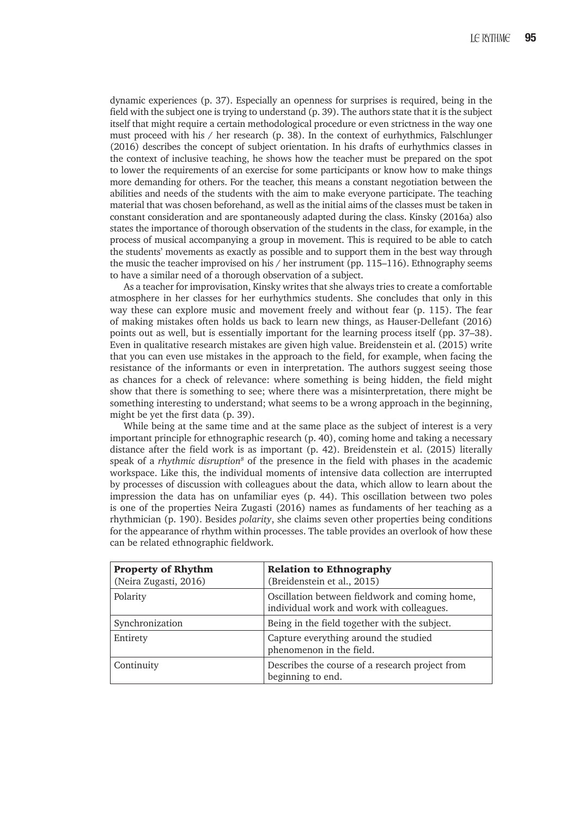dynamic experiences (p. 37). Especially an openness for surprises is required, being in the field with the subject one is trying to understand (p. 39). The authors state that it is the subject itself that might require a certain methodological procedure or even strictness in the way one must proceed with his / her research (p. 38). In the context of eurhythmics, Falschlunger (2016) describes the concept of subject orientation. In his drafts of eurhythmics classes in the context of inclusive teaching, he shows how the teacher must be prepared on the spot to lower the requirements of an exercise for some participants or know how to make things more demanding for others. For the teacher, this means a constant negotiation between the abilities and needs of the students with the aim to make everyone participate. The teaching material that was chosen beforehand, as well as the initial aims of the classes must be taken in constant consideration and are spontaneously adapted during the class. Kinsky (2016a) also states the importance of thorough observation of the students in the class, for example, in the process of musical accompanying a group in movement. This is required to be able to catch the students' movements as exactly as possible and to support them in the best way through the music the teacher improvised on his / her instrument (pp. 115–116). Ethnography seems to have a similar need of a thorough observation of a subject.

As a teacher for improvisation, Kinsky writes that she always tries to create a comfortable atmosphere in her classes for her eurhythmics students. She concludes that only in this way these can explore music and movement freely and without fear (p. 115). The fear of making mistakes often holds us back to learn new things, as Hauser-Dellefant (2016) points out as well, but is essentially important for the learning process itself (pp. 37–38). Even in qualitative research mistakes are given high value. Breidenstein et al. (2015) write that you can even use mistakes in the approach to the field, for example, when facing the resistance of the informants or even in interpretation. The authors suggest seeing those as chances for a check of relevance: where something is being hidden, the field might show that there is something to see; where there was a misinterpretation, there might be something interesting to understand; what seems to be a wrong approach in the beginning, might be yet the first data (p. 39).

While being at the same time and at the same place as the subject of interest is a very important principle for ethnographic research (p. 40), coming home and taking a necessary distance after the field work is as important (p. 42). Breidenstein et al. (2015) literally speak of a *rhythmic disruption<sup>8</sup>* of the presence in the field with phases in the academic workspace. Like this, the individual moments of intensive data collection are interrupted by processes of discussion with colleagues about the data, which allow to learn about the impression the data has on unfamiliar eyes (p. 44). This oscillation between two poles is one of the properties Neira Zugasti (2016) names as fundaments of her teaching as a rhythmician (p. 190). Besides *polarity*, she claims seven other properties being conditions for the appearance of rhythm within processes. The table provides an overlook of how these can be related ethnographic fieldwork.

| <b>Property of Rhythm</b><br>(Neira Zugasti, 2016) | <b>Relation to Ethnography</b><br>(Breidenstein et al., 2015)                               |
|----------------------------------------------------|---------------------------------------------------------------------------------------------|
| Polarity                                           | Oscillation between fieldwork and coming home,<br>individual work and work with colleagues. |
| Synchronization                                    | Being in the field together with the subject.                                               |
| Entirety                                           | Capture everything around the studied<br>phenomenon in the field.                           |
| Continuity                                         | Describes the course of a research project from<br>beginning to end.                        |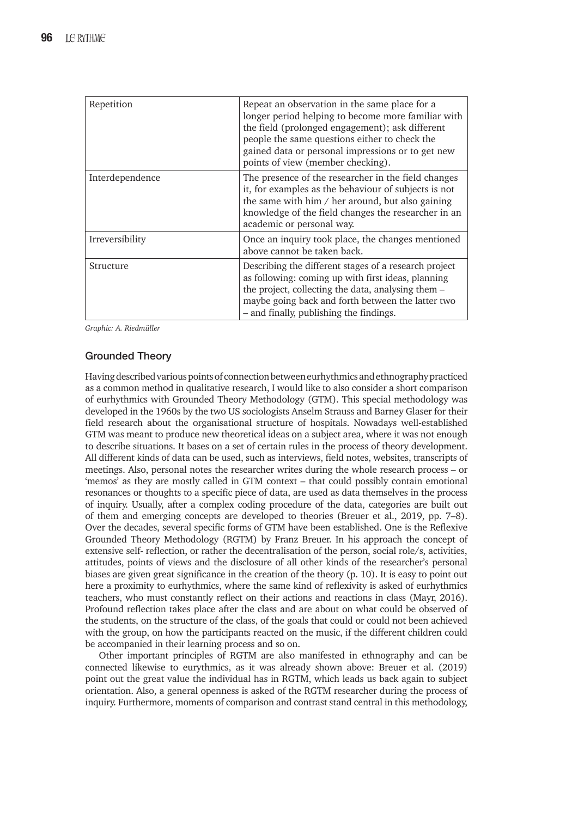| Repetition      | Repeat an observation in the same place for a<br>longer period helping to become more familiar with<br>the field (prolonged engagement); ask different<br>people the same questions either to check the<br>gained data or personal impressions or to get new<br>points of view (member checking). |
|-----------------|---------------------------------------------------------------------------------------------------------------------------------------------------------------------------------------------------------------------------------------------------------------------------------------------------|
| Interdependence | The presence of the researcher in the field changes<br>it, for examples as the behaviour of subjects is not<br>the same with him $/$ her around, but also gaining<br>knowledge of the field changes the researcher in an<br>academic or personal way.                                             |
| Irreversibility | Once an inquiry took place, the changes mentioned<br>above cannot be taken back.                                                                                                                                                                                                                  |
| Structure       | Describing the different stages of a research project<br>as following: coming up with first ideas, planning<br>the project, collecting the data, analysing them -<br>maybe going back and forth between the latter two<br>- and finally, publishing the findings.                                 |

*Graphic: A. Riedmüller*

# **Grounded Theory**

Having described various points of connection between eurhythmics and ethnography practiced as a common method in qualitative research, I would like to also consider a short comparison of eurhythmics with Grounded Theory Methodology (GTM). This special methodology was developed in the 1960s by the two US sociologists Anselm Strauss and Barney Glaser for their field research about the organisational structure of hospitals. Nowadays well-established GTM was meant to produce new theoretical ideas on a subject area, where it was not enough to describe situations. It bases on a set of certain rules in the process of theory development. All different kinds of data can be used, such as interviews, field notes, websites, transcripts of meetings. Also, personal notes the researcher writes during the whole research process – or 'memos' as they are mostly called in GTM context – that could possibly contain emotional resonances or thoughts to a specific piece of data, are used as data themselves in the process of inquiry. Usually, after a complex coding procedure of the data, categories are built out of them and emerging concepts are developed to theories (Breuer et al., 2019, pp. 7–8). Over the decades, several specific forms of GTM have been established. One is the Reflexive Grounded Theory Methodology (RGTM) by Franz Breuer. In his approach the concept of extensive self- reflection, or rather the decentralisation of the person, social role/s, activities, attitudes, points of views and the disclosure of all other kinds of the researcher's personal biases are given great significance in the creation of the theory (p. 10). It is easy to point out here a proximity to eurhythmics, where the same kind of reflexivity is asked of eurhythmics teachers, who must constantly reflect on their actions and reactions in class (Mayr, 2016). Profound reflection takes place after the class and are about on what could be observed of the students, on the structure of the class, of the goals that could or could not been achieved with the group, on how the participants reacted on the music, if the different children could be accompanied in their learning process and so on.

Other important principles of RGTM are also manifested in ethnography and can be connected likewise to eurythmics, as it was already shown above: Breuer et al. (2019) point out the great value the individual has in RGTM, which leads us back again to subject orientation. Also, a general openness is asked of the RGTM researcher during the process of inquiry. Furthermore, moments of comparison and contrast stand central in this methodology,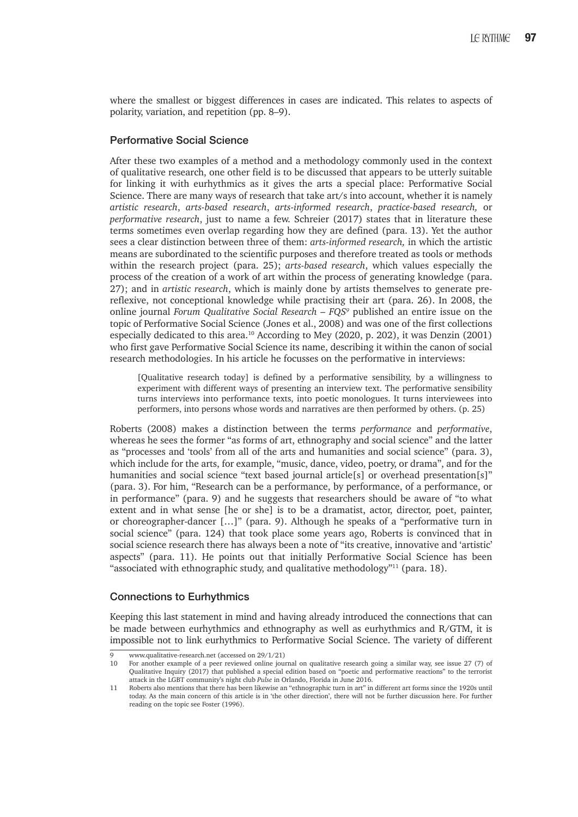where the smallest or biggest differences in cases are indicated. This relates to aspects of polarity, variation, and repetition (pp. 8–9).

## **Performative Social Science**

After these two examples of a method and a methodology commonly used in the context of qualitative research, one other field is to be discussed that appears to be utterly suitable for linking it with eurhythmics as it gives the arts a special place: Performative Social Science. There are many ways of research that take art/s into account, whether it is namely *artistic research*, *arts-based research*, *arts-informed research*, *practice-based research,* or *performative research*, just to name a few. Schreier (2017) states that in literature these terms sometimes even overlap regarding how they are defined (para. 13). Yet the author sees a clear distinction between three of them: *arts-informed research,* in which the artistic means are subordinated to the scientific purposes and therefore treated as tools or methods within the research project (para. 25); *arts-based research*, which values especially the process of the creation of a work of art within the process of generating knowledge (para. 27); and in *artistic research*, which is mainly done by artists themselves to generate prereflexive, not conceptional knowledge while practising their art (para. 26). In 2008, the online journal *Forum Qualitative Social Research – FQS9* published an entire issue on the topic of Performative Social Science (Jones et al., 2008) and was one of the first collections especially dedicated to this area.10 According to Mey (2020, p. 202), it was Denzin (2001) who first gave Performative Social Science its name, describing it within the canon of social research methodologies. In his article he focusses on the performative in interviews:

[Qualitative research today] is defined by a performative sensibility, by a willingness to experiment with different ways of presenting an interview text. The performative sensibility turns interviews into performance texts, into poetic monologues. It turns interviewees into performers, into persons whose words and narratives are then performed by others. (p. 25)

Roberts (2008) makes a distinction between the terms *performance* and *performative*, whereas he sees the former "as forms of art, ethnography and social science" and the latter as "processes and 'tools' from all of the arts and humanities and social science" (para. 3), which include for the arts, for example, "music, dance, video, poetry, or drama", and for the humanities and social science "text based journal article<sup>[s]</sup> or overhead presentation<sup>[s]"</sup> (para. 3). For him, "Research can be a performance, by performance, of a performance, or in performance" (para. 9) and he suggests that researchers should be aware of "to what extent and in what sense [he or she] is to be a dramatist, actor, director, poet, painter, or choreographer-dancer […]" (para. 9). Although he speaks of a "performative turn in social science" (para. 124) that took place some years ago, Roberts is convinced that in social science research there has always been a note of "its creative, innovative and 'artistic' aspects" (para. 11). He points out that initially Performative Social Science has been "associated with ethnographic study, and qualitative methodology"<sup>11</sup> (para. 18).

#### **Connections to Eurhythmics**

Keeping this last statement in mind and having already introduced the connections that can be made between eurhythmics and ethnography as well as eurhythmics and R/GTM, it is impossible not to link eurhythmics to Performative Social Science. The variety of different

<sup>9</sup> www.qualitative-research.net (accessed on  $29/1/21$ )<br>10 For another example of a neer reviewed online journ

<sup>10</sup> For another example of a peer reviewed online journal on qualitative research going a similar way, see issue 27 (7) of Qualitative Inquiry (2017) that published a special edition based on "poetic and performative reactions" to the terrorist attack in the LGBT community's night club *Pulse* in Orlando, Florida in June 2016.

<sup>11</sup> Roberts also mentions that there has been likewise an "ethnographic turn in art" in different art forms since the 1920s until today. As the main concern of this article is in 'the other direction', there will not be further discussion here. For further reading on the topic see Foster (1996).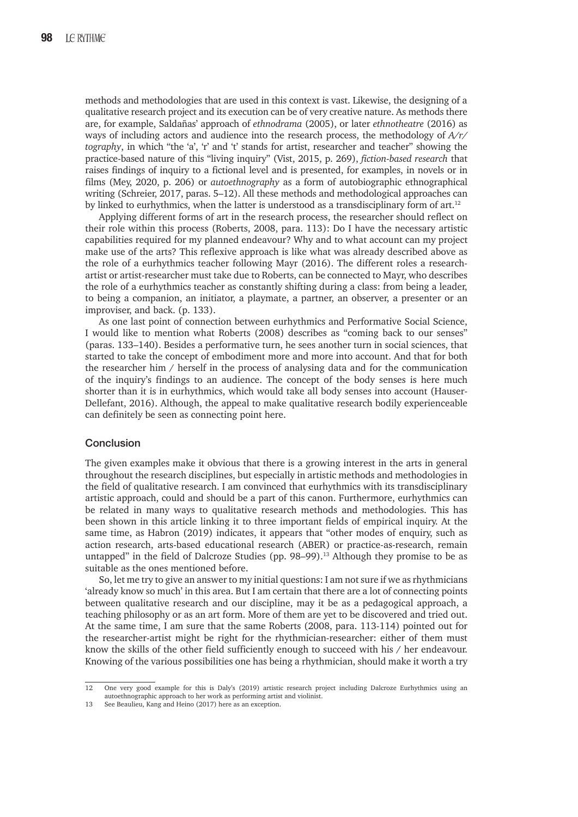methods and methodologies that are used in this context is vast. Likewise, the designing of a qualitative research project and its execution can be of very creative nature. As methods there are, for example, Saldañas' approach of *ethnodrama* (2005), or later *ethnotheatre* (2016) as ways of including actors and audience into the research process, the methodology of *A/r/ tography*, in which "the 'a', 'r' and 't' stands for artist, researcher and teacher" showing the practice-based nature of this "living inquiry" (Vist, 2015, p. 269), *fiction-based research* that raises findings of inquiry to a fictional level and is presented, for examples, in novels or in films (Mey, 2020, p. 206) or *autoethnography* as a form of autobiographic ethnographical writing (Schreier, 2017, paras. 5–12). All these methods and methodological approaches can by linked to eurhythmics, when the latter is understood as a transdisciplinary form of art.<sup>12</sup>

Applying different forms of art in the research process, the researcher should reflect on their role within this process (Roberts, 2008, para. 113): Do I have the necessary artistic capabilities required for my planned endeavour? Why and to what account can my project make use of the arts? This reflexive approach is like what was already described above as the role of a eurhythmics teacher following Mayr (2016). The different roles a researchartist or artist-researcher must take due to Roberts, can be connected to Mayr, who describes the role of a eurhythmics teacher as constantly shifting during a class: from being a leader, to being a companion, an initiator, a playmate, a partner, an observer, a presenter or an improviser, and back. (p. 133).

As one last point of connection between eurhythmics and Performative Social Science, I would like to mention what Roberts (2008) describes as "coming back to our senses" (paras. 133–140). Besides a performative turn, he sees another turn in social sciences, that started to take the concept of embodiment more and more into account. And that for both the researcher him / herself in the process of analysing data and for the communication of the inquiry's findings to an audience. The concept of the body senses is here much shorter than it is in eurhythmics, which would take all body senses into account (Hauser-Dellefant, 2016). Although, the appeal to make qualitative research bodily experienceable can definitely be seen as connecting point here.

#### **Conclusion**

The given examples make it obvious that there is a growing interest in the arts in general throughout the research disciplines, but especially in artistic methods and methodologies in the field of qualitative research. I am convinced that eurhythmics with its transdisciplinary artistic approach, could and should be a part of this canon. Furthermore, eurhythmics can be related in many ways to qualitative research methods and methodologies. This has been shown in this article linking it to three important fields of empirical inquiry. At the same time, as Habron (2019) indicates, it appears that "other modes of enquiry, such as action research, arts-based educational research (ABER) or practice-as-research, remain untapped" in the field of Dalcroze Studies (pp. 98-99).<sup>13</sup> Although they promise to be as suitable as the ones mentioned before.

So, let me try to give an answer to my initial questions: I am not sure if we as rhythmicians 'already know so much' in this area. But I am certain that there are a lot of connecting points between qualitative research and our discipline, may it be as a pedagogical approach, a teaching philosophy or as an art form. More of them are yet to be discovered and tried out. At the same time, I am sure that the same Roberts (2008, para. 113-114) pointed out for the researcher-artist might be right for the rhythmician-researcher: either of them must know the skills of the other field sufficiently enough to succeed with his / her endeavour. Knowing of the various possibilities one has being a rhythmician, should make it worth a try

<sup>12</sup> One very good example for this is Daly's (2019) artistic research project including Dalcroze Eurhythmics using an autoethnographic approach to her work as performing artist and violinist.

<sup>13</sup> See Beaulieu, Kang and Heino (2017) here as an exception.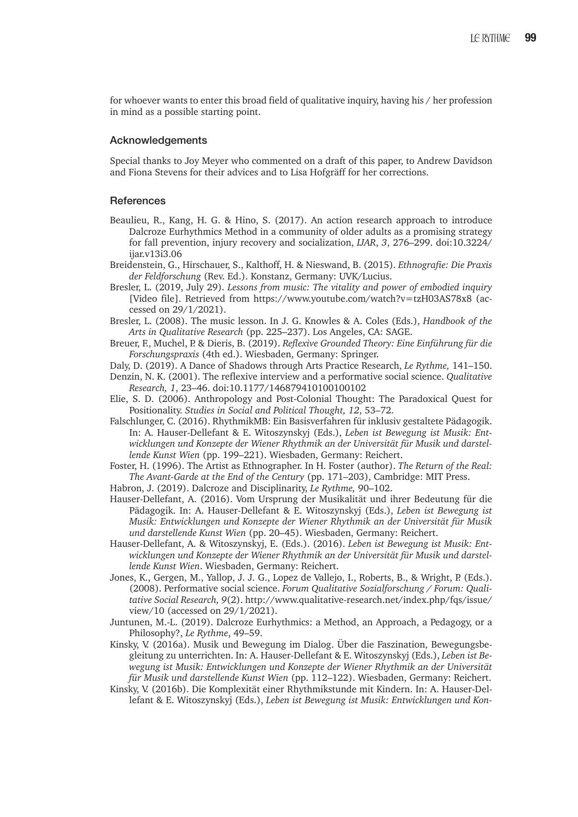for whoever wants to enter this broad field of qualitative inquiry, having his / her profession in mind as a possible starting point.

#### **Acknowledgements**

Special thanks to Joy Meyer who commented on a draft of this paper, to Andrew Davidson and Fiona Stevens for their advices and to Lisa Hofgräff for her corrections.

#### **References**

- Beaulieu, R., Kang, H. G. & Hino, S. (2017). An action research approach to introduce Dalcroze Eurhythmics Method in a community of older adults as a promising strategy for fall prevention, injury recovery and socialization, *IJAR*, *3*, 276–299. doi:10.3224/ ijar.v13i3.06
- Breidenstein, G., Hirschauer, S., Kalthoff, H. & Nieswand, B. (2015). *Ethnografie: Die Praxis der Feldforschung* (Rev. Ed.). Konstanz, Germany: UVK/Lucius.
- Bresler, L. (2019, July 29). *Lessons from music: The vitality and power of embodied inquiry* [Video file]. Retrieved from https://www.youtube.com/watch?v=tzH03AS78x8 (accessed on 29/1/2021).
- Bresler, L. (2008). The music lesson. In J. G. Knowles & A. Coles (Eds.), *Handbook of the Arts in Qualitative Research* (pp. 225–237). Los Angeles, CA: SAGE.
- Breuer, F., Muchel, P. & Dieris, B. (2019). *Reflexive Grounded Theory: Eine Einführung für die Forschungspraxis* (4th ed.). Wiesbaden, Germany: Springer.

Daly, D. (2019). A Dance of Shadows through Arts Practice Research, *Le Rythme,* 141–150.

- Denzin, N. K. (2001). The reflexive interview and a performative social science. *Qualitative Research, 1*, 23–46. doi:10.1177/146879410100100102
- Elie, S. D. (2006). Anthropology and Post-Colonial Thought: The Paradoxical Quest for Positionality. *Studies in Social and Political Thought, 12*, 53–72.
- Falschlunger, C. (2016). RhythmikMB: Ein Basisverfahren für inklusiv gestaltete Pädagogik. In: A. Hauser-Dellefant & E. Witoszynskyj (Eds.), *Leben ist Bewegung ist Musik: Entwicklungen und Konzepte der Wiener Rhythmik an der Universität für Musik und darstellende Kunst Wien* (pp. 199–221). Wiesbaden, Germany: Reichert.
- Foster, H. (1996). The Artist as Ethnographer. In H. Foster (author). *The Return of the Real: The Avant-Garde at the End of the Century* (pp. 171–203), Cambridge: MIT Press.
- Habron, J. (2019). Dalcroze and Disciplinarity, *Le Rythme,* 90–102.
- Hauser-Dellefant, A. (2016). Vom Ursprung der Musikalität und ihrer Bedeutung für die Pädagogik. In: A. Hauser-Dellefant & E. Witoszynskyj (Eds.), *Leben ist Bewegung ist Musik: Entwicklungen und Konzepte der Wiener Rhythmik an der Universität für Musik und darstellende Kunst Wien* (pp. 20–45). Wiesbaden, Germany: Reichert.
- Hauser-Dellefant, A. & Witoszynskyj, E. (Eds.). (2016). *Leben ist Bewegung ist Musik: Entwicklungen und Konzepte der Wiener Rhythmik an der Universität für Musik und darstellende Kunst Wien*. Wiesbaden, Germany: Reichert.
- Jones, K., Gergen, M., Yallop, J. J. G., Lopez de Vallejo, I., Roberts, B., & Wright, P. (Eds.). (2008). Performative social science. *Forum Qualitative Sozialforschung / Forum: Qualitative Social Research, 9*(2). http://www.qualitative-research.net/index.php/fqs/issue/ view/10 (accessed on 29/1/2021).
- Juntunen, M.-L. (2019). Dalcroze Eurhythmics: a Method, an Approach, a Pedagogy, or a Philosophy?, *Le Rythme*, 49–59.
- Kinsky, V. (2016a). Musik und Bewegung im Dialog. Über die Faszination, Bewegungsbegleitung zu unterrichten. In: A. Hauser-Dellefant & E. Witoszynskyj (Eds.), *Leben ist Bewegung ist Musik: Entwicklungen und Konzepte der Wiener Rhythmik an der Universität für Musik und darstellende Kunst Wien* (pp. 112–122). Wiesbaden, Germany: Reichert.
- Kinsky, V. (2016b). Die Komplexität einer Rhythmikstunde mit Kindern. In: A. Hauser-Dellefant & E. Witoszynskyj (Eds.), *Leben ist Bewegung ist Musik: Entwicklungen und Kon-*